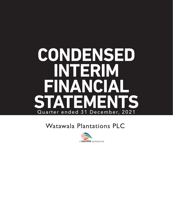# **CONDENSED INTERIM FINANCIAL STATEMENTS** Quarter ended 31 December, 2021

# **Watawala Plantations PLC**

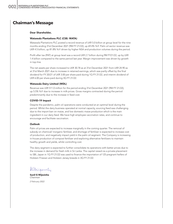### **Chairman's Message**

#### Dear Shareholder,

#### Watawala Plantations PLC (CSE: WATA)

Watawala Plantations PLC posted a record revenue of LKR 5.0 billion at group level for the nine months ending 31st December 2021 (9M FY 21/22), up 69.4% YoY. Palm oil sector revenue was LKR 4.5 billion, up 81.8% YoY driven by higher NSA and production volumes during the period.

Profit after tax (PAT) at group level was a record LKR 2.7 billion during 9M FY21/22, up by LKR 1.4 billion compared to the same period last year. Margin improvement was driven by growth in top-line.

The net assets per share increased to LKR 30.78 as at 31st December 2021 from LKR 24.90 as at 31st March 2021 due to increase in retained earnings, which was partly offset by the final dividend for FY 20/21 of LKR 3.00 per share paid during 1Q FY 21/22, and interim dividend of LKR 6.00 per share paid during 3Q FY 21/22.

#### Watawala Dairy Limited (WDL)

Revenue was LKR 511.0 million for the period ending 31st December 2021 (9M FY 21/22), up 5.5% YoY due to increase in milk prices. Gross margins contracted during the period predominantly due to the increase in feed cost.

#### COVID-19 Impact

Despite the pandemic, palm oil operations were conducted at an optimal level during the period. Whilst the dairy business operated at normal capacity, sourcing feed was challenging due to the import ban on maize, and low domestic maize production which is the main ingredient in our dairy feed. We have high employee vaccination rates, and continue to encourage and facilitate vaccination.

#### **Outlook**

Palm oil prices are expected to increase marginally in the coming quarter. The removal of subsidy on chemical/ inorganic fertilizer, and shortage of fertilizer is expected to increase cost of production, and negatively impact yield in the palm oil segment. The Company is increasing in-house production of compost fertilizer and exploring alternative fertilizers to maintain healthy growth and yields, whilst controlling cost.

The dairy segment is expected to further consolidate its operations with better prices due to the increase in demand for fresh milk in Sri Lanka. The capital raised via a private placement to SBI, Japan in 1Q FY 21/22 was used to finance the importation of 125 pregnant heifers of Holstein Friesian and Holstein Jersey breeds in 3Q FY 21/22.

Demijesnih

**Sunil G Wijesinha**  *Chairman 2 February 2022*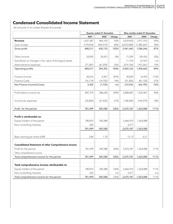# **Condensed Consolidated Income Statement**

|                                                             |            | Quarter ended 31 December |        | Nine months ended 31 December |               |        |  |
|-------------------------------------------------------------|------------|---------------------------|--------|-------------------------------|---------------|--------|--|
|                                                             | 2021       | 2020                      | Change | 2021                          | 2020          | Change |  |
| <b>Revenue</b>                                              | 1,627,287  | 846,105                   | 92%    | 5,033,465                     | 2,971,533     | 69%    |  |
| Cost of sales                                               | (779, 076) | (425, 972)                | 83%    | (2,072,000)                   | (1, 385, 267) | 50%    |  |
| Gross profit                                                | 848,211    | 420,133                   | 102%   | 2,961,465                     | 1,586,266     | 87%    |  |
| Other Income                                                | 33,093     | 35,815                    | $-8%$  | 71,259                        | 105,424       | $-32%$ |  |
| Gain/(loss) on changes in fair value of biological assets   |            |                           |        | 11,193                        | (3,767)       | n/a    |  |
| Administrative expenses                                     | (77, 287)  | (61, 593)                 | 25%    | (219, 754)                    | (191, 261)    | 15%    |  |
| Operating profits                                           | 804,017    | 394,355                   | 104%   | 2,824,163                     | 1,496,662     | 89%    |  |
| Finance Income                                              | 20,016     | 6,967                     | 187%   | 35,829                        | 16,925        | 112%   |  |
| <b>Finance Costs</b>                                        | (16, 714)  | (14, 702)                 | 14%    | (51, 305)                     | (81, 120)     | $-37%$ |  |
| Net Finance Income/(Costs)                                  | 3,302      | (7, 735)                  | n/a    | (15, 476)                     | (64, 195)     | $-76%$ |  |
| Profit before income tax                                    | 807,319    | 386,620                   | 109%   | 2,808,687                     | 1,432,467     | 96%    |  |
| Income tax expenses                                         | (25, 820)  | (41, 032)                 | $-37%$ | (138,500)                     | (169, 379)    | $-18%$ |  |
| Profit for the period                                       | 781,499    | 345,588                   | 126%   | 2,670,187                     | 1,263,088     | 111%   |  |
| Profit is attributable to:                                  |            |                           |        |                               |               |        |  |
| Equity holders of the parent                                | 780,874    | 345,588                   |        | 2,666,910                     | 1,263,088     |        |  |
| Non-controlling interests                                   | 625        |                           |        | 3,277                         |               |        |  |
|                                                             | 781,499    | 345,588                   |        | 2,670,187                     | 1,263,088     |        |  |
| Basic earning per share (LKR)                               | 3.84       | 1.70                      |        | 13.13                         | 6.21          |        |  |
| <b>Consolidated Statement of other Comprehensive Income</b> |            |                           |        |                               |               |        |  |
| Profit for the period                                       | 781,499    | 345,588                   | 126%   | 2,670,187                     | 1,263,088     | 111%   |  |
| Other comprehensive income                                  |            |                           |        |                               |               |        |  |
| Total comprehensive income for the period                   | 781,499    | 345,588                   | 126%   | 2,670,187                     | 1,263,088     | 111%   |  |
| Total comprehensive income attributable to                  |            |                           |        |                               |               |        |  |
| Equity holders of the parent                                | 780,874    | 345,588                   | 126%   | 2,666,910                     | 1,263,088     | 111%   |  |
| Non-controlling interests                                   | 625        |                           | n/a    | 3,277                         |               | n/a    |  |
| Total comprehensive income for the period                   | 781,499    | 345,588                   | 126%   | 2,670,187                     | 1,263,088     | 111%   |  |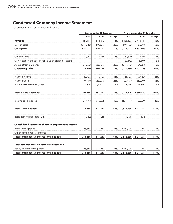# **Condensed Company Income Statement**

|                                                             | Quarter ended 31 December |            |        | Nine months ended 31 December |            |        |  |
|-------------------------------------------------------------|---------------------------|------------|--------|-------------------------------|------------|--------|--|
|                                                             | 2021                      | 2020       | Change | 2021                          | 2020       | Change |  |
| <b>Revenue</b>                                              | 1,451,194                 | 674,392    | 115%   | 4,523,533                     | 2,488,111  | 82%    |  |
| Cost of sales                                               | (611, 223)                | (274, 575) | 123%   | (1,607,560)                   | (957, 048) | 68%    |  |
| Gross profit                                                | 839,971                   | 399,817    | 110%   | 2,915,973                     | 1,531,063  | 90%    |  |
| Other Income                                                | 22,044                    | 19,086     | 15%    | 34,310                        | 63,074     | $-46%$ |  |
| Gain/(loss) on changes in fair value of biological assets   |                           |            |        | 20,542                        | (6, 349)   | n/a    |  |
| Administrative Expenses                                     | (74, 266)                 | (58, 135)  | 28%    | (211, 356)                    | (184, 353) | 15%    |  |
| Operating profits                                           | 787,749                   | 360,768    | 118%   | 2,759,469                     | 1,403,435  | 97%    |  |
| Finance Income                                              | 19,773                    | 10,709     | 85%    | 36,407                        | 29,204     | 25%    |  |
| <b>Finance Costs</b>                                        | (10, 157)                 | (13, 206)  | $-23%$ | (32, 461)                     | (52,049)   | $-38%$ |  |
| Net Finance Income/(Costs)                                  | 9,616                     | (2, 497)   | n/a    | 3,946                         | (22, 845)  | n/a    |  |
| Profit before income tax                                    | 797,365                   | 358,271    | 123%   | 2,763,415                     | 1,380,590  | 100%   |  |
| Income tax expenses                                         | (21, 499)                 | (41, 032)  | $-48%$ | (131, 179)                    | (169, 379) | $-23%$ |  |
| Profit for the period                                       | 775,866                   | 317,239    | 145%   | 2,632,236                     | 1,211,211  | 117%   |  |
| Basic earning per share (LKR)                               | 3.82                      | 1.56       |        | 12.95                         | 5.96       |        |  |
| <b>Consolidated Statement of other Comprehensive Income</b> |                           |            |        |                               |            |        |  |
| Profit for the period                                       | 775,866                   | 317,239    | 145%   | 2,632,236                     | 1,211,211  | 117%   |  |
| Other comprehensive income                                  |                           |            |        |                               |            |        |  |
| Total comprehensive income for the period                   | 775,866                   | 317,239    | 145%   | 2,632,236                     | 1,211,211  | 117%   |  |
| Total comprehensive income attributable to                  |                           |            |        |                               |            |        |  |
| Equity holders of the parent                                | 775,866                   | 317,239    | 145%   | 2,632,236                     | 1,211,211  | 117%   |  |
| Total comprehensive income for the period                   | 775,866                   | 317,239    | 145%   | 2,632,236                     | 1,211,211  | 117%   |  |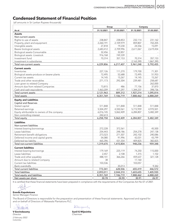### **Condensed Statement of Financial Position**

(all amounts in Sri Lankan Rupees thousands)

|                                                                          | Group                |                          | Company                  |            |  |
|--------------------------------------------------------------------------|----------------------|--------------------------|--------------------------|------------|--|
| As at                                                                    | 31.12.2021           | 31.03.2021               | 31.12.2021               | 31.03.2021 |  |
| <b>Assets</b>                                                            |                      |                          |                          |            |  |
| Non-current assets                                                       |                      |                          |                          |            |  |
| Rights to use of assets                                                  | 238,847              | 238,853                  | 232,114                  | 231,162    |  |
| Property, plant and equipment                                            | 2,260,191            | 2,109,979                | 859,807                  | 702,205    |  |
| Intangible assets                                                        | 27,818               | 19,230                   | 24,556                   | 15,091     |  |
| Bearer biological assets                                                 | 2,683,412            | 2,709,996                | 2,611,067                | 2,619,454  |  |
| <b>Biological assets-Consumable</b>                                      | 32,456               | 32,857                   |                          |            |  |
| <b>Biological assets -Livestock</b>                                      | 916,768              | 749,339                  |                          |            |  |
| Investment fund                                                          | 70,314               | 357,153                  | 70,314                   | 357,153    |  |
| Investment in subsidiaries                                               |                      |                          | 2,163,390                | 1,867,390  |  |
| Total non-current assets                                                 | 6,229,806            | 6,217,407                | 5,961,248                | 5,792,455  |  |
| <b>Current assets</b>                                                    |                      |                          |                          |            |  |
| Inventories                                                              | 227,126              | 111,270                  | 179,700                  | 71,301     |  |
| Biological assets-produce on bearer plants                               | 72,495               | 52,688                   | 72,495                   | 51,953     |  |
| Current tax assets                                                       | 14,145               | 15,267                   | 14,145                   | 15,267     |  |
| Trade and other receivables                                              | 271,173              | 292,304                  | 239,481                  | 258,687    |  |
| Loan given to related Company                                            | $\sim$               | $\bar{\phantom{a}}$      | $\overline{\phantom{a}}$ | 262,000    |  |
| Amount due from related Companies                                        | 73,815               | 486                      | 77,156                   | 37,870     |  |
| Cash and cash equivalents                                                | 1,463,209            | 417,297                  | 1,344,237                | 398,736    |  |
| Total current assets                                                     | 2,121,963            | 889,312                  | 1,927,214                | 1,095,814  |  |
| Total assets                                                             | 8,351,769            | 7,106,719                | 7,888,462                | 6,888,269  |  |
|                                                                          |                      |                          |                          |            |  |
| <b>Equity and Liabilities</b>                                            |                      |                          |                          |            |  |
| <b>Capital and Reserves</b>                                              | 511,848              | 511,848                  | 511,848                  |            |  |
| Stated capital<br>Retained earnings                                      |                      |                          |                          | 511,848    |  |
|                                                                          | 5,504,297            | 4,550,561                | 5,772,959                | 4,970,501  |  |
| Equity attributable to owners of the company<br>Non controlling interest | 6,016,145            | 5,062,409                | 6,284,807                | 5,482,349  |  |
| <b>Total equity</b>                                                      | 242,613<br>6,258,758 | 5,062,409                | 6,284,807                | 5,482,349  |  |
|                                                                          |                      |                          |                          |            |  |
| <b>Liabilities</b>                                                       |                      |                          |                          |            |  |
| Non-current liabilities                                                  |                      |                          |                          |            |  |
| Interest bearing borrowings                                              | 272,228              | 372,561                  |                          | 45,500     |  |
| Lease liabilities                                                        | 254,443              | 248,186                  | 254,278                  | 247,138    |  |
| Retirement benefit obligations                                           | 273,523              | 271,507                  | 242,102                  | 240,086    |  |
| Deferred income and capital grants                                       | 54,080               | 91,996                   | 42,031                   | 43,799     |  |
| Deferred tax liability                                                   | 465,396              | 431,554                  | 409,825                  | 382,825    |  |
| Total non-current liabilities                                            | 1,319,670            | 1,415,804                | 948,236                  | 959,348    |  |
| <b>Current liabilities</b>                                               |                      |                          |                          |            |  |
| Interest bearing borrowings                                              | 179,169              | 225,119                  | 74,250                   | 115,000    |  |
| Lease liabilities                                                        | 2,457                | 2,108                    | 1,315                    | 1,102      |  |
| Trade and other payables                                                 | 488,141              | 366,266                  | 459,637                  | 321,128    |  |
| Amount due to related Company                                            | 38                   |                          | 17,160                   |            |  |
| Current tax liabilities                                                  | 103,536              | $\overline{\phantom{a}}$ | 103,057                  |            |  |
| Bank overdrafts                                                          |                      | 35,013                   |                          | 9,342      |  |
| Total current liabilities                                                | 773,341              | 628,506                  | 655,419                  | 446,572    |  |
| <b>Total liabilities</b>                                                 | 2,093,011            | 2,044,310                | 1,603,655                | 1,405,920  |  |
| Total equity and liabilities                                             | 8,351,769            | 7,106,719                | 7,888,462                | 6,888,269  |  |
| Net assets per share                                                     | 30.78                | 24.90                    | 30.91                    | 26.97      |  |

It is certified that these financial statements have been prepared in compliance with the requirements of the Companies Act No 07 of 2007.

**Eranda Kapukotuwa**  *Senior Manager-Finance*

The Board of Directors is responsible for the preparation and presentation of these financial statements. Approved and signed for and on behalf of Directors of Watawala Plantations PLC.

thateries

**V Govindasamy** *Director 2 February 2022 Colombo*

Ilmijesnity

**Sunil G Wijesinha**  *Chairman*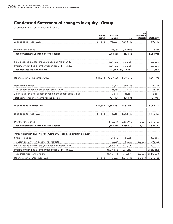# **Condensed Statement of changes in equity - Group**

|                                                                        | <b>Stated</b><br>capital | <b>Retained</b><br>earnings | <b>Total</b>  | <b>Non</b><br>controlling<br>interests | <b>Total Equity</b> |
|------------------------------------------------------------------------|--------------------------|-----------------------------|---------------|----------------------------------------|---------------------|
| Balance as at 1 April 2020                                             | 511,848                  | 4,086,294                   | 4,598,142     |                                        | 4,598,142           |
| Profit for the period                                                  |                          | 1,263,088                   | 1,263,088     |                                        | 1,263,088           |
| Total comprehensive income for the period                              |                          | 1,263,088                   | 1,263,088     |                                        | 1,263,088           |
| Final dividend paid for the year ended 31 March 2020                   |                          | (609, 926)                  | (609, 926)    |                                        | (609, 926)          |
| Interim dividend paid for the year ended 31 March 2021                 |                          | (609, 926)                  | (609, 926)    |                                        | (609, 926)          |
| Total transactions with owners                                         |                          | (1, 219, 852)               | (1, 219, 852) |                                        | (1, 219, 852)       |
| Balance as at 31 December 2020                                         | 511,848                  | 4,129,530                   | 4,641,378     |                                        | 4,641,378           |
| Profit for the period                                                  |                          | 399,748                     | 399,748       |                                        | 399,748             |
| Acturial gain on retirement benefit obligations                        |                          | 25,164                      | 25,164        |                                        | 25,164              |
| Deferred tax on acturial gain on retirement benefit obligations        |                          | (3,881)                     | (3,881)       |                                        | (3,881)             |
| Total comprehensive income for the period                              |                          | 421,031                     | 421,031       |                                        | 421,031             |
| Balance as at 31 March 2021                                            | 511,848                  | 4,550,561                   | 5,062,409     |                                        | 5,062,409           |
| Balance as at 1 April 2021                                             | 511,848                  | 4,550,561                   | 5,062,409     |                                        | 5,062,409           |
| Profit for the period                                                  |                          | 2,666,910                   | 2,666,910     | 3,277                                  | 2,670,187           |
| Total comprehensive income for the period                              |                          | 2,666,910                   | 2,666,910     | 3,277                                  | 2,670,187           |
| Transactions with owners of the Company, recognised directly in equity |                          |                             |               |                                        |                     |
| Share issuing cost                                                     |                          | (39,665)                    | (39,665)      |                                        | (39,665)            |
| Transactions with non-controlling interests                            |                          | 156,269                     | 156,269       | 239,336                                | 395,605             |
| Final dividend paid for the year ended 31 March 2021                   |                          | (609, 926)                  | (609, 926)    |                                        | (609, 926)          |
| Interim dividend paid for the year ended 31 March 2022                 |                          | (1, 219, 852)               | (1, 219, 852) |                                        | (1, 219, 852)       |
| Total trasactions with owners                                          |                          | (1, 713, 174)               | (1,713,174)   | 239,336                                | (1,473,838)         |
| Balance as at 31 December 2021                                         | 511,848                  | 5,504,297                   | 6,016,145     | 242,613                                | 6,258,758           |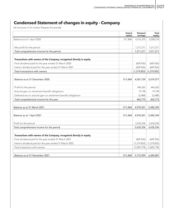# **Condensed Statement of changes in equity - Company**

|                                                                        | <b>Stated</b><br>capital | <b>Retained</b><br>earnings | <b>Total</b><br>equity |
|------------------------------------------------------------------------|--------------------------|-----------------------------|------------------------|
| Balance as at 1 April 2020                                             | 511,848                  | 4,516,370                   | 5,028,218              |
| Net profit for the period                                              |                          | 1,211,211                   | 1,211,211              |
| Total comprehensive income for the period                              |                          | 1,211,211                   | 1,211,211              |
| Transactions with owners of the Company, recognised directly in equity |                          |                             |                        |
| Final dividend paid for the year ended 31 March 2020                   |                          | (609, 926)                  | (609, 926)             |
| Interim dividend paid for the year ended 31 March 2021                 |                          | (609, 926)                  | (609, 926)             |
| Total transactions with owners                                         |                          | $(1,219,852)$ $(1,219,852)$ |                        |
| Balance as at 31 December 2020                                         | 511,848                  | 4,507,729                   | 5,019,577              |
| Profit for the period                                                  |                          | 446,262                     | 446,262                |
| Acturial gain on retirement benefit obligations                        |                          | 19,198                      | 19,198                 |
| Deferred tax on acturial gain on retirement benefit obligations        |                          | (2,688)                     | (2,688)                |
| Total comprehensive income for the year                                |                          | 462,772                     | 462,772                |
| Balance as at 31 March 2021                                            | 511,848                  | 4,970,501                   | 5,482,349              |
| Balance as at 1 April 2021                                             | 511,848                  | 4,970,501                   | 5,482,349              |
| Profit for the period                                                  |                          | 2,632,236                   | 2,632,236              |
| Total comprehensive income for the period                              |                          | 2,632,236                   | 2,632,236              |
| Transactions with owners of the Company, recognised directly in equity |                          |                             |                        |
| Final dividend paid for the year ended 31 March 2021                   |                          | (609, 926)                  | (609, 926)             |
| Interim dividend paid for the year ended 31 March 2022                 |                          | (1, 219, 852)               | (1, 219, 852)          |
| Total trasactions with owners                                          |                          | (1,829,778)                 | (1,829,778)            |
| Balance as at 31 December 2021                                         | 511,848                  | 5,772,959                   | 6,284,807              |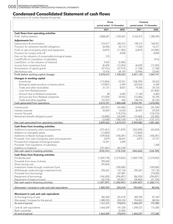# **Condensed Consolidated Statement of cash flows**

|                                                        | Group                     |               | Company                   |               |  |
|--------------------------------------------------------|---------------------------|---------------|---------------------------|---------------|--|
|                                                        | period ended '31 December |               | period ended '31 December |               |  |
|                                                        | 2021                      | 2020          | 2021                      | 2020          |  |
| <b>Cash flows from operating activities</b>            |                           |               |                           |               |  |
| Profit before taxation                                 | 2,808,687                 | 1,432,467     | 2,763,415                 | 1,380,590     |  |
| <b>Adjustments for:</b>                                |                           |               |                           |               |  |
| Depreciation & amortisation                            | 274,477                   | 240,472       | 198,319                   | 168,491       |  |
| Provision for retirement benefit obligations           | 20,906                    | 20,714        | 17,420                    | 16,377        |  |
| Profit on sale of property, plant and equipment        | (3,879)                   | (11,905)      | (3,879)                   | (10,985)      |  |
| Provision for nursery write off                        |                           | 8,000         |                           | 8,000         |  |
| Gain on fair valuation of consumable biological assets | (72)                      |               |                           |               |  |
| Loss/(Profit) on Liquidation of subsidiary             |                           |               |                           | (416)         |  |
| Loss/(Gain) on fair valuation of livestock             | 9,422                     | (2,582)       |                           |               |  |
| Income from investment fund                            | (8, 429)                  | (13, 393)     | (8, 429)                  | (13, 393)     |  |
| Amortisation of capital grants                         | (37,916)                  | (37, 915)     | (1,768)                   | (1,768)       |  |
| Net finance cost                                       | 15,476                    | 64,195        | (3,946)                   | 22,845        |  |
| Profit before working capital changes                  | 3,078,672                 | 1,700,053     | 2,961,132                 | 1,569,741     |  |
| Changes in working capital                             |                           |               |                           |               |  |
| - Inventories                                          | (115, 856)                | 23,521        | (108, 399)                | 30,422        |  |
| - Biological assets-produce on bearer plants           | (19,807)                  | 6,349         | (20, 542)                 | 6,349         |  |
| - Trade and other receivables                          | 21,131                    | 8,827         | 19,206                    | 24,735        |  |
| - Loan from Related parties                            |                           |               |                           | (61, 805)     |  |
| - Amount due to Related companies                      | 38                        | 6,483         | 17,160                    | 6,483         |  |
| - Amount due from Related companies                    | (73, 329)                 | 54,952        | (73, 286)                 | 50,790        |  |
| - Trade and other payables                             | 121,872                   | 463           | 138,510                   | (8, 132)      |  |
| Cash generated from operations                         | 3,012,721                 | 1,800,648     | 2,933,781                 | 1,618,583     |  |
| Interest paid                                          | (20, 397)                 | (54, 400)     | (4,902)                   | (25, 330)     |  |
| Interest received                                      | 35,829                    | 16,925        | 36,407                    | 29,204        |  |
| Income Tax paid                                        |                           | (118, 310)    |                           | (118, 310)    |  |
| Retirement benefit obligations paid                    | (18,890)                  | (24, 949)     | (15, 404)                 | (22,685)      |  |
|                                                        | (3, 458)                  | (180, 734)    | 16,101                    | (137, 121)    |  |
| Net cash generated from operating activities           | 3,009,263                 | 1,619,914     | 2,949,882                 | 1,481,462     |  |
| Cash flows from investing activities                   |                           |               |                           |               |  |
| Additions to property, plant and equipment             | (275, 361)                | (71, 879)     | (223, 209)                | (63, 423)     |  |
| Addition to intangible assets                          | (13,820)                  |               | (13,820)                  |               |  |
| <b>Additions to Bearer biological assets</b>           | (109, 063)                | (100, 281)    | (112, 482)                | (100, 281)    |  |
| Proceeds from sale of property, plant and equipment    | 3,879                     | 38,647        | 3,879                     | 37,727        |  |
| Proceed from Disposal of biological assets             | 15,591                    | 3,509         |                           |               |  |
| Proceeds from liquidation of subsidiary                |                           |               |                           | 1,268         |  |
| Addition to livestock                                  | (191, 967)                | (44, 729)     | $-1$                      |               |  |
| Net cash used in investing activities                  | (570, 741)                | (174, 733)    | (345, 632)                | (124, 709)    |  |
| <b>Cash flows from financing activities</b>            |                           |               |                           |               |  |
| Dividends paid                                         | (1,829,778)               | (1, 219, 852) | (1,829,778)               | (1, 219, 852) |  |
| Proceeds from issue of shares                          | 395,605                   |               |                           |               |  |
| Share issuing cost                                     | (39,665)                  |               |                           |               |  |
| Investment made through investment fund                |                           | (100,000)     |                           | (100,000)     |  |
| Withdrawals made through investment fund               | 295,267                   | 157,736       | 295,267                   | 157,736       |  |
| Proceeds from borrowings                               |                           | 247,887       |                           | 218,000       |  |
| Repayment of borrowings                                | (146, 283)                | (296, 897)    | (86, 250)                 | (296, 897)    |  |
| Repayment of lease principal                           | (32, 743)                 | (29, 821)     | (28,646)                  | (27, 704)     |  |
| Net cash used in financing activities                  | (1, 357, 597)             | (1, 240, 947) | (1,649,407)               | (1,268,717)   |  |
| (Decrease) / increase in cash and cash equivalents     | 1,080,925                 | 204,234       | 954,843                   | 88,036        |  |
| Movement in cash and cash equivalents                  |                           |               |                           |               |  |
| At the beginning of year                               | 382,284                   | (25, 419)     | 389,394                   | 87,349        |  |
| (Decrease) / Increase for the period                   | 1,080,925                 | 204,234       | 954,843                   | 88,036        |  |
| At end of period                                       | 1,463,209                 | 178,815       | 1,344,237                 | 175,385       |  |
|                                                        |                           |               |                           |               |  |
| Cash & cash equivalents                                | 1,463,209                 | 181,320       | 1,344,237                 | 175,385       |  |
| Bank overdrafts                                        |                           | (2,505)       |                           |               |  |
| At end of period                                       | 1,463,209                 | 178,815       | 1,344,237                 | 175,385       |  |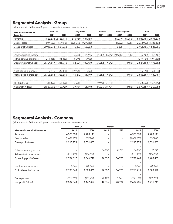# **Segmental Analysis - Group**

(all amounts in Sri Lankan Rupees thousands, unless otherwise stated)

| Nine months ended 31     | Palm Oil    |                     | Dairy Farm |            | <b>Others</b> |               | <b>Inter Segment</b> |         | Total      |                           |
|--------------------------|-------------|---------------------|------------|------------|---------------|---------------|----------------------|---------|------------|---------------------------|
| <b>December</b>          | 2021        | 2020                | 2021       | 2020       | 2021          | 2020          | 2021                 | 2020    | 2021       | 2020                      |
| Revenue                  | 4,523,533   | 2,488,111           | 510,969    | 484,488    |               |               | (1,037)              | (1,066) | 5,033,465  | 2,971,533                 |
| Cost of sales            | (1,607,560) | (957, 048)          | (505, 762) | (429, 285) |               |               | 41,322               | 1,066   |            | $(2,072,000)$ (1,385,267) |
| Gross profit/(loss)      | 2,915,973   | 1,531,063           | 5,207      | 55,203     |               |               | 40,285               |         |            | 2,961,465 1,586,266       |
| Other operating income   |             |                     | 67,885     | 54,495     | 54,852        | 47,642        | (40, 285)            | (480)   | 82,452     | 101,657                   |
| Administrative expenses  | (211, 356)  | (184, 353)          | (8,398)    | (6,908)    |               |               |                      |         | (219, 754) | (191, 261)                |
| Operating profit/(loss)  | 2,704,617   | 1,346,710           | 64,694     | 102,790    | 54,852        | 47,642        |                      | (480)   | 2,824,163  | 1,496,662                 |
| Net finance expenses     | 3,946       | (22, 845)           | (19, 422)  | (41, 350)  |               |               |                      |         | (15, 476)  | (64, 195)                 |
| Profit/(Loss) before tax | 2,708,563   | 1,323,865           | 45,272     | 61,440     | 54,852        | 47,642        |                      | (480)   | 2,808,687  | 1,432,467                 |
| Tax expenses             | (121, 203)  | (161, 438)          | (7, 321)   |            | (9,976)       | (7,941)       |                      |         | (138,500)  | (169, 379)                |
| Net profit / (loss)      |             | 2,587,360 1,162,427 | 37,951     | 61,440     |               | 44,876 39,701 |                      | (480)   |            | 2,670,187 1,263,088       |

## **Segmental Analysis - Company**

(all amounts in Sri Lankan Rupees thousands, unless otherwise stated)

|                               | Palm Oil                     |            | <b>Others</b>            |                          | Total       |            |  |
|-------------------------------|------------------------------|------------|--------------------------|--------------------------|-------------|------------|--|
| Nine months ended 31 December | 2021                         | 2020       | 2021                     | 2020                     | 2021        | 2020       |  |
| Revenue                       | 4,523,533                    | 2,488,111  | $\overline{\phantom{a}}$ |                          | 4,523,533   | 2,488,111  |  |
| Cost of sales                 | (1,607,560)                  | (957, 048) | $\overline{\phantom{a}}$ | $\overline{\phantom{a}}$ | (1,607,560) | (957, 048) |  |
| Gross profit/(loss)           | 2,915,973                    | 1,531,063  | $\overline{\phantom{a}}$ |                          | 2,915,973   | 1,531,063  |  |
|                               |                              |            |                          |                          |             |            |  |
| Other operating income        | $\qquad \qquad \blacksquare$ | ۰          | 54,852                   | 56,725                   | 54,852      | 56,725     |  |
| Administrative expenses       | (211, 356)                   | (184, 353) | $\overline{\phantom{a}}$ |                          | (211, 356)  | (184, 353) |  |
| Operating profit/(loss)       | 2,704,617                    | 1,346,710  | 54,852                   | 56,725                   | 2,759,469   | 1,403,435  |  |
|                               |                              |            |                          |                          |             |            |  |
| Net finance expenses          | 3,946                        | (22, 845)  | $\overline{\phantom{a}}$ | $\overline{\phantom{a}}$ | 3,946       | (22, 845)  |  |
| Profit/(Loss) before tax      | 2,708,563                    | 1,323,865  | 54,852                   | 56,725                   | 2,763,415   | 1,380,590  |  |
|                               |                              |            |                          |                          | -           |            |  |
| Tax expenses                  | (121, 203)                   | (161, 438) | (9,976)                  | (7,941)                  | (131, 179)  | (169, 379) |  |
| Net profit / (loss)           | 2,587,360                    | 1,162,427  | 44,876                   | 48,784                   | 2,632,236   | 1,211,211  |  |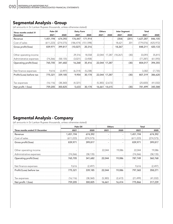# **Segmental Analysis - Group**

(all amounts in Sri Lankan Rupees thousands, unless otherwise stated)

| Three months ended 31    | Palm Oil   |            | Dairy Farm |            | <b>Others</b> |               | <b>Inter Segment</b> |       | <b>Total</b> |            |
|--------------------------|------------|------------|------------|------------|---------------|---------------|----------------------|-------|--------------|------------|
| <b>December</b>          | 2021       | 2020       | 2021       | 2020       | 2021          | 2020          | 2021                 | 2020  | 2021         | 2020       |
| Revenue                  | 1,451,194  | 674,392    | 176,447    | 171,914    |               |               | (354)                | (201) | 1,627,287    | 846,105    |
| Cost of sales            | (611, 223) | (274, 575) | (186, 474) | (151, 598) |               |               | 18,621               | 201   | (779, 076)   | (425, 972) |
| Gross profit/(loss)      | 839,971    | 399,817    | (10, 027)  | 20,316     |               |               | 18,267               |       | 848,211      | 420,133    |
| Other operating income   |            |            | 29,316     | 18,558     | 22,044        | 17,287        | (18, 267)            | (30)  | 33,093       | 35,815     |
| Administrative expenses  | (74, 266)  | (58, 135)  | (3,021)    | (3,458)    |               |               |                      |       | (77, 287)    | (61, 593)  |
| Operating profit/(loss)  | 765,705    | 341,682    | 16,268     | 35,416     | 22,044        | 17,287        |                      | (30)  | 804,017      | 394,355    |
| Net finance expenses     | 9,616      | (2,497)    | (6, 314)   | (5, 238)   |               |               |                      |       | 3,302        | (7, 735)   |
| Profit/(Loss) before tax | 775,321    | 339,185    | 9,954      | 30,178     | 22,044        | 17,287        |                      | (30)  | 807,319      | 386,620    |
| Tax expenses             | (16, 116)  | (38, 360)  | (4, 321)   |            | (5, 383)      | (2,672)       |                      |       | (25, 820)    | (41, 032)  |
| Net profit / (loss)      | 759,205    | 300,825    | 5,633      | 30,178     |               | 16,661 14,615 |                      | (30)  | 781,499      | 345,588    |

## **Segmental Analysis - Company**

(all amounts in Sri Lankan Rupees thousands, unless otherwise stated)

|                                | Palm Oil                 |            | <b>Others</b>            |         | <b>Total</b> |            |  |
|--------------------------------|--------------------------|------------|--------------------------|---------|--------------|------------|--|
| Three months ended 31 December | 2021                     | 2020       | 2021                     | 2020    | 2021         | 2020       |  |
| Revenue                        | 1,451,194                | 674,392    | $\overline{\phantom{a}}$ |         | 1,451,194    | 674,392    |  |
| Cost of sales                  | (611, 223)               | (274, 575) | $\overline{\phantom{a}}$ | ۰       | (611, 223)   | (274, 575) |  |
| Gross profit/(loss)            | 839,971                  | 399,817    | $\overline{\phantom{a}}$ |         | 839,971      | 399,817    |  |
| Other operating income         | $\overline{\phantom{a}}$ |            | 22,044                   | 19,086  | 22,044       | 19,086     |  |
| Administrative expenses        | (74, 266)                | (58, 135)  | $\overline{\phantom{a}}$ |         | (74, 266)    | (58, 135)  |  |
| Operating profit/(loss)        | 765,705                  | 341,682    | 22,044                   | 19,086  | 787,749      | 360,768    |  |
| Net finance expenses           | 9,616                    | (2, 497)   | -                        |         | 9,616        | (2, 497)   |  |
| Profit/(Loss) before tax       | 775,321                  | 339,185    | 22,044                   | 19,086  | 797,365      | 358,271    |  |
| Tax expenses                   | (16, 116)                | (38, 360)  | (5, 383)                 | (2,672) | (21, 499)    | (41, 032)  |  |
| Net profit / (loss)            | 759,205                  | 300,825    | 16,661                   | 16,414  | 775,866      | 317,239    |  |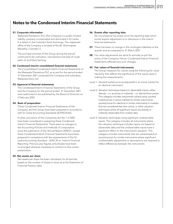## **Notes to the Condensed Interim Financial Statements**

#### 01. Corporate information

Watawala Plantations PLC (the Company) is a public limited liability company incorporated and domiciled in Sri Lanka. It is listed on the Colombo Stock Exchange. The registered office of the Company is located at No 60, Dharmapala Mawatha, Colombo 3.

The principal activities of the Group during the period continued to be cultivation, manufacture and sale of crude palm oil and Dairy farming.

#### 02. Condensed Interim consolidated financial statements

The Consolidated Condensed Interim Financial Statements of the Watawala Plantations PLC as at and for the period ended 31 December 2021 comprised the Company and subsidiary Watawala Dairy Ltd.

#### 03. Approval of financial statements

The Condensed Interim Financial Statements of the Group and the Company for the period ended 31 December 2021 were authorised to be published by the Board of Directors on 2 February 2022.

#### 04. Basis of preparation

These Condensed Interim Financial Statements of the Company and the Group have been prepared in accordance with Sri Lanka Accounting Standards (SLFRS/LKAS).

Further, provisions of the Companies Act No.7 of 2007 have been considered in preparing these Condensed Interim Financial Statements. There were no changes to the Accounting Policies and methods of computation since the publication of the Annual Report 2020/21, except these Condensed Interim Financial Statements have been prepared in compliance with the requirements of the Sri Lanka Accounting Standard - LKAS 34 on 'Interim Financial Reporting. Previous year figures and phrases have been re-arranged wherever necessary to conform to the current presentation.

#### 05. Net assets per share

Net assets per share has been calculated, for all periods, based on the number of shares in issue as at the Statement of Financial Position date.

#### 06. Events after reporting date

No circumstance has arisen since the reporting date which would require adjustment to or disclosure in the interim financial statements.

- 07. There has been no change in the contingent liabilities at the quarter end as compared to 31 March 2021.
- **08.** Fair value adjustments are done bi-annually as per the policy of the Company. Hence, Condensed Interim Financial Statements reflected any such changes.

#### 09. Fair values of financial instruments

The Group measures fair values using the following fair value hierarchy that reflects the significance of the inputs used in making the measurements.

- Level 1: Quoted market price (unadjusted) in an active market for an identical instrument.
- Level 2: Valuation techniques based on observable inputs, either directly – i.e. as prices or indirectly – i.e. derived from prices. This category includes instruments valued using: quoted market prices in active markets for similar instruments; quoted prices for identical or similar instruments in markets that are considered less than active; or other valuation techniques where all significant inputs are directly or indirectly observable from market data.
- Level 3: Valuation techniques using significant unobservable inputs. This category includes all instruments where the valuation technique includes inputs not based on observable data and the unobservable inputs have a significant effect on the instrument's valuation. This category includes instruments that are valued based on quoted prices for similar instruments where significant unobservable adjustments or assumptions are required to reflect differences between the instruments.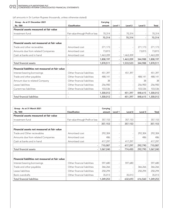(all amounts in Sri Lankan Rupees thousands, unless otherwise stated)

| Group - As at 31 December 2021                   |                                   | Carrying  |         |           |         |           |
|--------------------------------------------------|-----------------------------------|-----------|---------|-----------|---------|-----------|
| 'Rs. '000                                        | <b>Classification</b>             | amount    | Level 1 | Level 2   | Level 3 | Total     |
| Financial assets measured at fair value          |                                   |           |         |           |         |           |
| Investment fund                                  | Fair value through Profit or loss | 70,314    |         | 70,314    |         | 70,314    |
|                                                  |                                   | 70,314    |         | 70,314    |         | 70,314    |
| Financial assets not measured at fair value      |                                   |           |         |           |         |           |
| Trade and other recievables                      | Amortised cost                    | 271,173   |         |           | 271,173 | 271,173   |
| Amounts due from related Companies               | Amortised cost                    | 73,815    |         |           | 73,815  | 73,815    |
| Cash at banks and in hand                        | Amortised cost                    | 1,463,209 |         | 1,463,209 |         | 1,463,209 |
|                                                  |                                   | 1,808,197 |         | 1,463,209 | 344,988 | 1,808,197 |
| <b>Total financial assets</b>                    |                                   | 1,878,511 |         | 1,533,523 | 344,988 | 1,878,511 |
| Financial liabilities not measured at fair value |                                   |           |         |           |         |           |
| Interest bearing borrowings                      | Other financial liabilities       | 451,397   |         | 451,397   |         | 451,397   |
| Trade and other payables                         | Other financial liabilities       | 488,141   |         |           | 488,141 | 488,141   |
| Amount due to related Company                    | Other financial liabilities       | 38        |         |           | 38      | 38        |
| Lease liabilities                                | Other financial liabilities       | 256,900   |         |           | 256,900 | 256,900   |
| Current tax liabilities                          | Other financial liabilities       | 103,536   |         |           | 103,536 | 103,536   |
|                                                  |                                   | 1,300,012 |         | 451,397   | 848,615 | 1,300,012 |
| <b>Total financial liabilities</b>               |                                   | 1,300,012 |         | 451,397   | 848,615 | 1,300,012 |

| Group - As at 31 March 2021                      |                                   | Carrying  |         |         |         |           |
|--------------------------------------------------|-----------------------------------|-----------|---------|---------|---------|-----------|
| 'Rs. '000                                        | <b>Classification</b>             | amount    | Level 1 | Level 2 | Level 3 | Total     |
| Financial assets measured at fair value          |                                   |           |         |         |         |           |
| Investment fund                                  | Fair value through Profit or loss | 357,153   |         | 357,153 |         | 357,153   |
|                                                  |                                   | 357,153   |         | 357,153 |         | 357,153   |
| Financial assets not measured at fair value      |                                   |           |         |         |         |           |
| Trade and Other recievables                      | Amortised cost                    | 292,304   |         |         | 292,304 | 292,304   |
| Amounts due from related Companies               | Amortised cost                    | 486       |         |         | 486     | 486       |
| Cash at banks and in hand                        | Amortised cost                    | 417,297   |         | 417,297 |         | 417,297   |
|                                                  |                                   | 710,087   |         | 417,297 | 292,790 | 710,087   |
| Total financial assets                           |                                   | 1,067,240 |         | 774,450 | 292,790 | 1,067,240 |
| Financial liabilities not measured at fair value |                                   |           |         |         |         |           |
| Interest bearing borrowings                      | Other financial liabilities       | 597,680   |         | 597,680 |         | 597,680   |
| Trade and other payables                         | Other financial liabilities       | 366,266   |         |         | 366,266 | 366,266   |
| Lease liabilities                                | Other financial liabilities       | 250,294   |         |         | 250,294 | 250,294   |
| <b>Bank overdrafts</b>                           | Other financial liabilities       | 35,013    |         | 35,013  |         | 35,013    |
| <b>Total financial liabilities</b>               |                                   | 1,249,253 |         | 632,693 | 616,560 | 1,249,253 |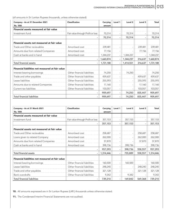(all amounts in Sri Lankan Rupees thousands, unless otherwise stated)

| Company - As at 31 December 2021                 | Classification                    | Carrying  | Level 1                  | Level <sub>2</sub> | Level 3 | Total     |
|--------------------------------------------------|-----------------------------------|-----------|--------------------------|--------------------|---------|-----------|
| 'Rs. '000                                        |                                   | amount    |                          |                    |         |           |
| Financial assets measured at fair value          |                                   |           |                          |                    |         |           |
| Investment fund                                  | Fair value through Profit or loss | 70,314    | $\overline{\phantom{0}}$ | 70,314             |         | 70,314    |
|                                                  |                                   | 70,314    | $\overline{\phantom{a}}$ | 70,314             |         | 70,314    |
| Financial assets not measured at fair value      |                                   |           |                          |                    |         |           |
| Trade and Other recievables                      | Amortised cost                    | 239,481   |                          |                    | 239,481 | 239,481   |
| Amounts due from related Companies               | Amortised cost                    | 77,156    | $\overline{\phantom{a}}$ |                    | 77,156  | 77,156    |
| Cash at banks and in hand                        | Amortised cost                    | 1,344,237 | $\overline{\phantom{a}}$ | 1,344,237          |         | 1,344,237 |
|                                                  |                                   | 1,660,874 |                          | 1,344,237          | 316,637 | 1,660,874 |
| <b>Total financial assets</b>                    |                                   | 1,731,188 | $\overline{\phantom{a}}$ | 1,414,551          | 316,637 | 1,731,188 |
| Financial liabilities not measured at fair value |                                   |           |                          |                    |         |           |
| Interest bearing borrowings                      | Other financial liabilities       | 74,250    | L,                       | 74,250             |         | 74,250    |
| Trade and other payables                         | Other financial liabilities       | 459,637   | $\overline{\phantom{a}}$ |                    | 459,637 | 459,637   |
| Lease liabilities                                | Other financial liabilities       | 255,593   | ٠                        |                    | 255,593 | 255,593   |
| Amounts due to related Companies                 | Other financial liabilities       | 17,160    | $\equiv$                 |                    | 17,160  | 17,160    |
| Current tax liabilities                          | Other financial liabilities       | 103,057   | $\overline{\phantom{0}}$ |                    | 103,057 | 103,057   |
|                                                  |                                   | 909,697   | $\overline{\phantom{a}}$ | 74,250             | 835,447 | 909,697   |
| <b>Total financial liabilities</b>               |                                   | 909,697   | $\overline{\phantom{0}}$ | 74,250             | 835,447 | 909,697   |

| Company - As at 31 March 2021                    | Classification                    | Carrying  | Level 1                  | Level <sub>2</sub>       | Level 3 | <b>Total</b> |
|--------------------------------------------------|-----------------------------------|-----------|--------------------------|--------------------------|---------|--------------|
| 'Rs. '000                                        |                                   | amount    |                          |                          |         |              |
| Financial assets measured at fair value          |                                   |           |                          |                          |         |              |
| Investment fund                                  | Fair value through Profit or loss | 357,153   |                          | 357,153                  |         | 357,153      |
|                                                  |                                   | 357,153   | $\overline{\phantom{a}}$ | 357,153                  |         | 357,153      |
| Financial assets not measured at fair value      |                                   |           |                          |                          |         |              |
| Trade and Other recievables                      | Amortised cost                    | 258,687   | $\overline{\phantom{a}}$ | $\overline{\phantom{a}}$ | 258,687 | 258,687      |
| Loans given to related Company                   | Amortised cost                    | 262,000   | $\overline{\phantom{a}}$ |                          | 262,000 | 262,000      |
| Amounts due from related Companies               | Amortised cost                    | 37,870    | $\overline{\phantom{a}}$ |                          | 37,870  | 37,870       |
| Cash at banks and in hand                        | Amortised cost                    | 398,736   | $\overline{\phantom{a}}$ | 398,736                  |         | 398,736      |
|                                                  |                                   | 957,293   | $\overline{\phantom{0}}$ | 398,736                  | 558,557 | 957,293      |
| Total financial assets                           |                                   | 1,314,446 | $\overline{\phantom{a}}$ | 755,889                  | 558,557 | 1,314,446    |
| Financial liabilities not measured at fair value |                                   |           |                          |                          |         |              |
| Interest bearing borrowings                      | Other financial liabilities       | 160,500   | $\overline{\phantom{a}}$ | 160,500                  |         | 160,500      |
| Lease liabilities                                | Other financial liabilities       | 248,240   | ٠                        |                          | 248,240 | 248,240      |
| Trade and other payables                         | Other financial liabilities       | 321,128   | ٠                        |                          | 321,128 | 321,128      |
| <b>Bank overdrafts</b>                           | Other financial liabilities       | 9,342     | $\overline{\phantom{m}}$ | 9,342                    |         | 9,342        |
| <b>Total financial liabilities</b>               |                                   | 739,210   | $\overline{\phantom{a}}$ | 169,842                  | 569,368 | 739,210      |

10. All amounts expressed are in Sri Lankan Rupees (LKR.) thousands unless otherwise stated.

11. The Condensed Interim Financial Statements are not audited.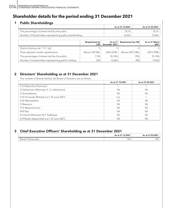## **Shareholder details for the period ending 31 December 2021**

### 1 Public Shareholdings

|                                                         | As at 31.12.2021 | As at 31.03.2021 |
|---------------------------------------------------------|------------------|------------------|
| The percentage of shares held by the public             |                  |                  |
| Number of Shareholders representing public shareholding | 6.462            | 15.463           |

|                                                    | Requirement by<br><b>CSE</b> | December 2021 | As as 31 Requirement by CSE                | As as 31 March<br>2021 |
|----------------------------------------------------|------------------------------|---------------|--------------------------------------------|------------------------|
| Option [Listing rule 7.13.1 (a)]                   |                              |               |                                            |                        |
| Float adjusted market capitalization               |                              |               | Above LKR 5Bn LKR 6.81Bn   Above LKR 2.5Bn | I KR 2.99Bn            |
| The percentage of shares held by the public        | 7.5%                         | 2576%         | 1በ%                                        | 25.76%                 |
| Number of shareholders representing public holding |                              | 16.462        | 500                                        | 15.463                 |

### 2 Directors' Shareholding as at 31 December 2021

The number of Shares held by the Board of Directors are as follows

|                                            | As at 31.12.2021 | As at 31.03.2021 |
|--------------------------------------------|------------------|------------------|
| S G Wijesinha (Chairman)                   |                  |                  |
| G Sathasivam (Alternate: S. G. Sathasivam) | Nil              | Nil              |
| V Govindasamy                              | Ni               | Nil              |
| A N Fernando (Retired w.e.f. 25 June 2021) | n/a              |                  |
| N B Weerasekera                            | Nil              | Nii              |
| S Mawzoon                                  | Nil              | Nil              |
| H D Abeywickrama                           | Nil              | Nii              |
| M R Rao                                    | Ni               | Nil              |
| K H Kuok (Alternate: M T Siddique)         | Ni               | Nil              |
| A R Rasiah (Appointed w.e.f. 25 June 2021) | Nil              | Nil              |

### 3 Chief Executive Officers' Shareholding as at 31 December 2021

|                              | As at 31.12.2021 | As at 31.03.2021 |
|------------------------------|------------------|------------------|
| <b>Binesh</b><br>· Pananwala | Nil              | NIL              |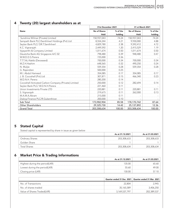|                                                      | 31st December 2021 |          | 31 st March 2021         |          |  |
|------------------------------------------------------|--------------------|----------|--------------------------|----------|--|
| <b>Name</b>                                          | No of Shares       | % of the | <b>No of Shares</b>      | % of the |  |
|                                                      | Held               | holding  | Held                     | holding  |  |
| Sunshine Wilmar (Private) Limited                    | 150,937,043        | 74.24    | 150,937,043              | 74.24    |  |
| Sampath Bank PLC/Senthilverl Holdings (Pvt) Ltd      | 8,554,244          | 4.21     | 9,930,000                | 4.88     |  |
| Seylan Bank PLC/ DR.T.Senthilverl                    | 4,829,780          | 2.38     | 9,592,412                | 4.72     |  |
| K.C. Vignarajah                                      | 2,449,592          | 1.20     | 2,415,529                | 1.19     |  |
| Vyjayanthi & Company Limited                         | 1,011,674          | 0.50     | 1,011,674                | 0.50     |  |
| Deustche Bank AG Singapore A/C 02                    | 798,480            | 0.39     | 948,480                  | 0.47     |  |
| W.W.D.D.S.Perera                                     | 725,000            | 0.36     |                          |          |  |
| T.T.T.AL-Nakib (Deceased)                            | 700,000            | 0.34     | 700,000                  | 0.34     |  |
| M.Z.H.Hashim                                         | 648,565            | 0.32     | 490.250                  | 0.24     |  |
| N. Muljie                                            | 559,354            | 0.28     | 559,354                  | 0.28     |  |
| G. Rajendren                                         | 500,000            | 0.25     |                          |          |  |
| M.I. Abdul Hameed                                    | 354,085            | 0.17     | 354.085                  | 0.17     |  |
| J. B. Cocoshell (Pvt) Ltd                            | 307.871            | 0.15     | 466,340                  | 0.23     |  |
| W.D.N.H. Perera                                      | 280,200            | 0.14     |                          |          |  |
| Cocoshell Activated Carbon Company (Private) Limited | 250,000            | 0.12     | 282,694                  | 0.14     |  |
| Seylan Bank PLC/W.D.N.H.Perera                       | 221,460            | 0.11     |                          |          |  |
| Union Investments Private LTD                        | 220,881            | 0.11     | 220,881                  | 0.11     |  |
| S. Vignarajah                                        | 219,675            | 0.11     | 262,000                  | 0.13     |  |
| M.A.M.A.Akram                                        | 215,000            | 0.11     |                          |          |  |
| Dialog Finance PLC/R.Gukenthiran                     | 200,000            | 0.10     | $\overline{\phantom{a}}$ |          |  |
| Sub Total                                            | 173,982,904        | 85.58    | 178,170,742              | 87.64    |  |
| <b>Other Shareholders</b>                            | 29,325,730         | 14.42    | 25,137,892               | 12.36    |  |
| <b>Grand Total</b>                                   | 203,308,634        | 100.00   | 203,308,634              | 100.00   |  |

### 4 Twenty (20) largest shareholders as at

### 5 Stated Capital

Stated capital is represented by share in issue as given below

|                              | As at 31.12.2021 | As at 31.03.2021 |
|------------------------------|------------------|------------------|
| <sup>1</sup> Ordinary Shares | 203,308,633      | 203,308,633      |
| Golden Share                 |                  |                  |
| <b>Total Shares</b>          | 203,308,634      | 203,308,634      |

### 6 Market Price & Trading Informations

|                                | As at 31.12.2021 | As at 31.03.2021 |
|--------------------------------|------------------|------------------|
| Highest during the period(LKR) | 135 U.           |                  |
| Lowest during the period(LKR)  | 55.60            |                  |
| 'Closing price (LKR)           | 30 U.            |                  |

|                             |               | Quarter ended 31 Dec 2021   Quarter ended 31 Mar 2021 |
|-----------------------------|---------------|-------------------------------------------------------|
| No. of Transactions         | 22,804        |                                                       |
| No. of shares traded        | 35.165.589    |                                                       |
| Value of Shares Traded(LKR) | 3.169.537.797 |                                                       |